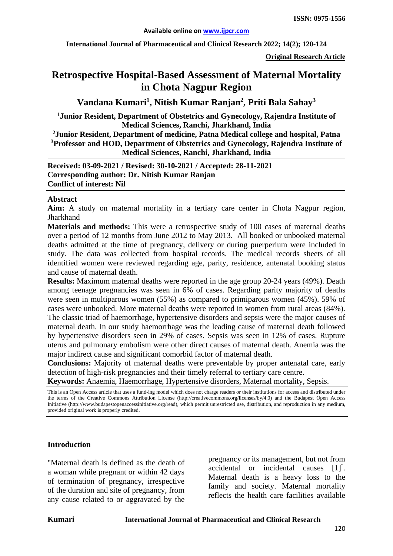**International Journal of Pharmaceutical and Clinical Research 2022; 14(2); 120-124**

**Original Research Article**

# **Retrospective Hospital-Based Assessment of Maternal Mortality in Chota Nagpur Region**

**Vandana Kumari1 , Nitish Kumar Ranjan2 , Priti Bala Sahay3**

**1Junior Resident, Department of Obstetrics and Gynecology, Rajendra Institute of Medical Sciences, Ranchi, Jharkhand, India**

**2 Junior Resident, Department of medicine, Patna Medical college and hospital, Patna 3 Professor and HOD, Department of Obstetrics and Gynecology, Rajendra Institute of Medical Sciences, Ranchi, Jharkhand, India**

**Received: 03-09-2021 / Revised: 30-10-2021 / Accepted: 28-11-2021 Corresponding author: Dr. Nitish Kumar Ranjan Conflict of interest: Nil**

#### **Abstract**

**Aim:** A study on maternal mortality in a tertiary care center in Chota Nagpur region, **Jharkhand** 

**Materials and methods:** This were a retrospective study of 100 cases of maternal deaths over a period of 12 months from June 2012 to May 2013. All booked or unbooked maternal deaths admitted at the time of pregnancy, delivery or during puerperium were included in study. The data was collected from hospital records. The medical records sheets of all identified women were reviewed regarding age, parity, residence, antenatal booking status and cause of maternal death.

**Results:** Maximum maternal deaths were reported in the age group 20-24 years (49%). Death among teenage pregnancies was seen in 6% of cases. Regarding parity majority of deaths were seen in multiparous women (55%) as compared to primiparous women (45%). 59% of cases were unbooked. More maternal deaths were reported in women from rural areas (84%). The classic triad of haemorrhage, hypertensive disorders and sepsis were the major causes of maternal death. In our study haemorrhage was the leading cause of maternal death followed by hypertensive disorders seen in 29% of cases. Sepsis was seen in 12% of cases. Rupture uterus and pulmonary embolism were other direct causes of maternal death. Anemia was the major indirect cause and significant comorbid factor of maternal death.

**Conclusions:** Majority of maternal deaths were preventable by proper antenatal care, early detection of high-risk pregnancies and their timely referral to tertiary care centre.

**Keywords:** Anaemia, Haemorrhage, Hypertensive disorders, Maternal mortality, Sepsis.

This is an Open Access article that uses a fund-ing model which does not charge readers or their institutions for access and distributed under the terms of the Creative Commons Attribution License (http://creativecommons.org/licenses/by/4.0) and the Budapest Open Access Initiative (http://www.budapestopenaccessinitiative.org/read), which permit unrestricted use, distribution, and reproduction in any medium, provided original work is properly credited.

### **Introduction**

"Maternal death is defined as the death of a woman while pregnant or within 42 days of termination of pregnancy, irrespective of the duration and site of pregnancy, from any cause related to or aggravated by the

pregnancy or its management, but not from accidental or incidental causes [1]" . Maternal death is a heavy loss to the family and society. Maternal mortality reflects the health care facilities available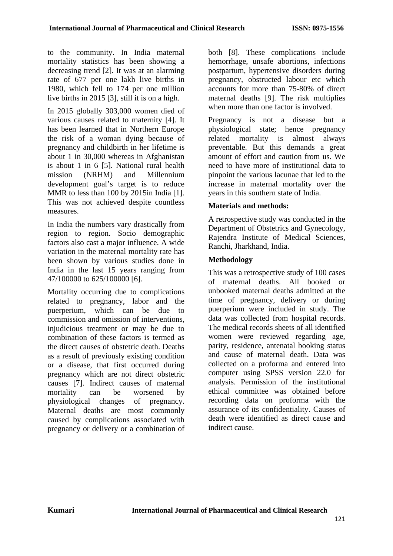to the community. In India maternal mortality statistics has been showing a decreasing trend [2]. It was at an alarming rate of 677 per one lakh live births in 1980, which fell to 174 per one million live births in 2015 [3], still it is on a high.

In 2015 globally 303,000 women died of various causes related to maternity [4]. It has been learned that in Northern Europe the risk of a woman dying because of pregnancy and childbirth in her lifetime is about 1 in 30,000 whereas in Afghanistan is about 1 in 6 [5]. National rural health mission (NRHM) and Millennium development goal's target is to reduce MMR to less than 100 by 2015in India [1]. This was not achieved despite countless measures.

In India the numbers vary drastically from region to region. Socio demographic factors also cast a major influence. A wide variation in the maternal mortality rate has been shown by various studies done in India in the last 15 years ranging from 47/100000 to 625/100000 [6].

Mortality occurring due to complications related to pregnancy, labor and the puerperium, which can be due to commission and omission of interventions, injudicious treatment or may be due to combination of these factors is termed as the direct causes of obstetric death. Deaths as a result of previously existing condition or a disease, that first occurred during pregnancy which are not direct obstetric causes [7]. Indirect causes of maternal mortality can be worsened by physiological changes of pregnancy. Maternal deaths are most commonly caused by complications associated with pregnancy or delivery or a combination of both [8]. These complications include hemorrhage, unsafe abortions, infections postpartum, hypertensive disorders during pregnancy, obstructed labour etc which accounts for more than 75-80% of direct maternal deaths [9]. The risk multiplies when more than one factor is involved.

Pregnancy is not a disease but a physiological state; hence pregnancy related mortality is almost always preventable. But this demands a great amount of effort and caution from us. We need to have more of institutional data to pinpoint the various lacunae that led to the increase in maternal mortality over the years in this southern state of India.

# **Materials and methods:**

A retrospective study was conducted in the Department of Obstetrics and Gynecology, Rajendra Institute of Medical Sciences, Ranchi, Jharkhand, India.

# **Methodology**

This was a retrospective study of 100 cases of maternal deaths. All booked or unbooked maternal deaths admitted at the time of pregnancy, delivery or during puerperium were included in study. The data was collected from hospital records. The medical records sheets of all identified women were reviewed regarding age, parity, residence, antenatal booking status and cause of maternal death. Data was collected on a proforma and entered into computer using SPSS version 22.0 for analysis. Permission of the institutional ethical committee was obtained before recording data on proforma with the assurance of its confidentiality. Causes of death were identified as direct cause and indirect cause.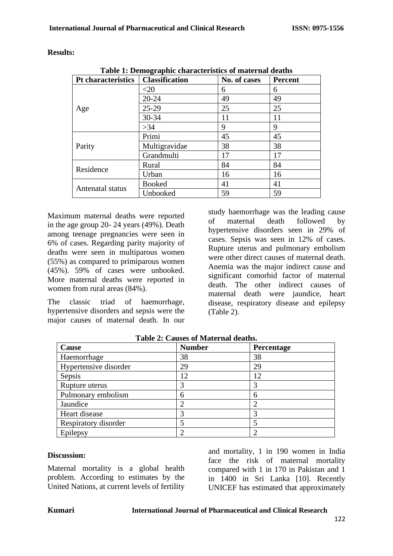| <b>Results:</b> |  |  |
|-----------------|--|--|

| Table 1: Demographic characteristics of maternal deaths |                       |              |                |  |  |
|---------------------------------------------------------|-----------------------|--------------|----------------|--|--|
| <b>Pt characteristics</b>                               | <b>Classification</b> | No. of cases | <b>Percent</b> |  |  |
| Age                                                     | ${<}20$               | 6            | 6              |  |  |
|                                                         | $20 - 24$             | 49           | 49             |  |  |
|                                                         | $25-29$               | 25           | 25             |  |  |
|                                                         | $30 - 34$             | 11           | 11             |  |  |
|                                                         | >34                   | 9            | 9              |  |  |
| Parity                                                  | Primi                 | 45           | 45             |  |  |
|                                                         | Multigravidae         | 38           | 38             |  |  |
|                                                         | Grandmulti            | 17           | 17             |  |  |
| Residence                                               | Rural                 | 84           | 84             |  |  |
|                                                         | Urban                 | 16           | 16             |  |  |
| Antenatal status                                        | <b>Booked</b>         | 41           | 41             |  |  |
|                                                         | Unbooked              | 59           | 59             |  |  |

**Table 1: Demographic characteristics of maternal deaths**

Maximum maternal deaths were reported in the age group 20- 24 years (49%). Death among teenage pregnancies were seen in 6% of cases. Regarding parity majority of deaths were seen in multiparous women (55%) as compared to primiparous women (45%). 59% of cases were unbooked. More maternal deaths were reported in women from rural areas (84%).

The classic triad of haemorrhage, hypertensive disorders and sepsis were the major causes of maternal death. In our

study haemorrhage was the leading cause of maternal death followed by hypertensive disorders seen in 29% of cases. Sepsis was seen in 12% of cases. Rupture uterus and pulmonary embolism were other direct causes of maternal death. Anemia was the major indirect cause and significant comorbid factor of maternal death. The other indirect causes of maternal death were jaundice, heart disease, respiratory disease and epilepsy (Table 2).

| Cause                 | <b>Number</b> | Percentage |
|-----------------------|---------------|------------|
| Haemorrhage           | 38            | 38         |
| Hypertensive disorder | 29            | 29         |
| Sepsis                | 12            | 12         |
| Rupture uterus        |               |            |
| Pulmonary embolism    | 6             | 6          |
| Jaundice              |               |            |
| Heart disease         |               |            |
| Respiratory disorder  |               |            |
| Epilepsy              |               |            |

**Table 2: Causes of Maternal deaths.**

# **Discussion:**

Maternal mortality is a global health problem. According to estimates by the United Nations, at current levels of fertility and mortality, 1 in 190 women in India face the risk of maternal mortality compared with 1 in 170 in Pakistan and 1 in 1400 in Sri Lanka [10]. Recently UNICEF has estimated that approximately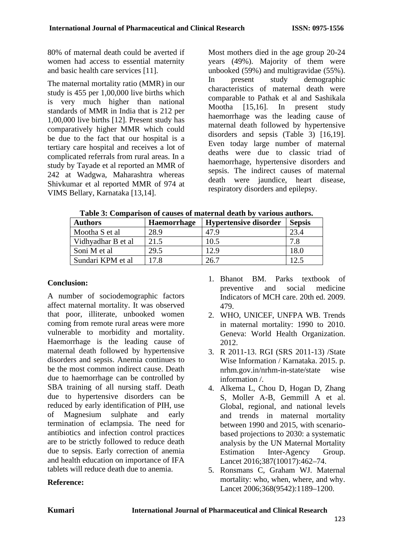80% of maternal death could be averted if women had access to essential maternity and basic health care services [11].

The maternal mortality ratio (MMR) in our study is 455 per 1,00,000 live births which is very much higher than national standards of MMR in India that is 212 per 1,00,000 live births [12]. Present study has comparatively higher MMR which could be due to the fact that our hospital is a tertiary care hospital and receives a lot of complicated referrals from rural areas. In a study by Tayade et al reported an MMR of 242 at Wadgwa, Maharashtra whereas Shivkumar et al reported MMR of 974 at VIMS Bellary, Karnataka [13,14].

Most mothers died in the age group 20-24 years (49%). Majority of them were unbooked (59%) and multigravidae (55%). In present study demographic characteristics of maternal death were comparable to Pathak et al and Sashikala Mootha [15,16]. In present study haemorrhage was the leading cause of maternal death followed by hypertensive disorders and sepsis (Table 3) [16,19]. Even today large number of maternal deaths were due to classic triad of haemorrhage, hypertensive disorders and sepsis. The indirect causes of maternal death were jaundice, heart disease, respiratory disorders and epilepsy.

| <b>Authors</b>     | <b>Haemorrhage</b> | <b>Hypertensive disorder</b> | <b>Sepsis</b> |
|--------------------|--------------------|------------------------------|---------------|
| Mootha S et al     | 28.9               | 47.9                         | 23.4          |
| Vidhyadhar B et al | 21.5               | 10.5                         | 7.8           |
| Soni M et al       | 29.5               | 2.9                          | 18.0          |
| Sundari KPM et al  | 17.8               | 26.7                         |               |

**Table 3: Comparison of causes of maternal death by various authors.**

# **Conclusion:**

A number of sociodemographic factors affect maternal mortality. It was observed that poor, illiterate, unbooked women coming from remote rural areas were more vulnerable to morbidity and mortality. Haemorrhage is the leading cause of maternal death followed by hypertensive disorders and sepsis. Anemia continues to be the most common indirect cause. Death due to haemorrhage can be controlled by SBA training of all nursing staff. Death due to hypertensive disorders can be reduced by early identification of PIH, use of Magnesium sulphate and early termination of eclampsia. The need for antibiotics and infection control practices are to be strictly followed to reduce death due to sepsis. Early correction of anemia and health education on importance of IFA tablets will reduce death due to anemia.

**Reference:**

- 1. Bhanot BM. Parks textbook of preventive and social medicine Indicators of MCH care. 20th ed. 2009. 479.
- 2. WHO, UNICEF, UNFPA WB. Trends in maternal mortality: 1990 to 2010. Geneva: World Health Organization. 2012.
- 3. R 2011-13. RGI (SRS 2011-13) /State Wise Information / Karnataka. 2015. p. nrhm.gov.in/nrhm-in-state/state wise information /.
- 4. Alkema L, Chou D, Hogan D, Zhang S, Moller A-B, Gemmill A et al. Global, regional, and national levels and trends in maternal mortality between 1990 and 2015, with scenariobased projections to 2030: a systematic analysis by the UN Maternal Mortality Estimation Inter-Agency Group. Lancet 2016;387(10017):462–74.
- 5. Ronsmans C, Graham WJ. Maternal mortality: who, when, where, and why. Lancet 2006;368(9542):1189–1200.